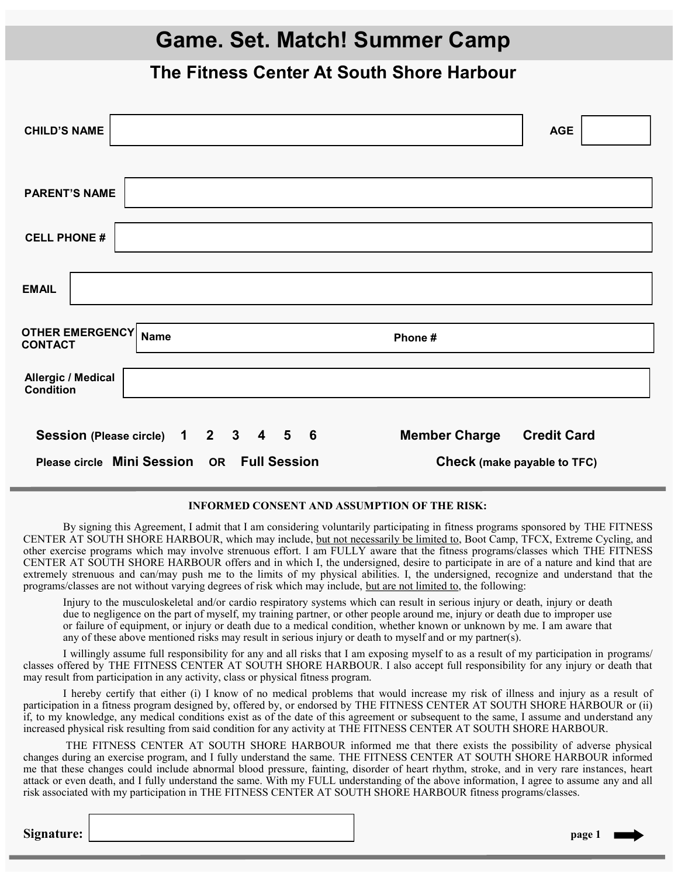# **Game. Set. Match! Summer Camp**

### **The Fitness Center At South Shore Harbour**

| <b>CHILD'S NAME</b>                                                                 | <b>AGE</b>         |
|-------------------------------------------------------------------------------------|--------------------|
|                                                                                     |                    |
| <b>PARENT'S NAME</b>                                                                |                    |
| <b>CELL PHONE #</b>                                                                 |                    |
| <b>EMAIL</b>                                                                        |                    |
| <b>OTHER EMERGENCY</b><br><b>Name</b><br>Phone#<br><b>CONTACT</b>                   |                    |
| <b>Allergic / Medical</b><br><b>Condition</b>                                       |                    |
| Session (Please circle) 1 2 3 4 5 6<br><b>Member Charge</b>                         | <b>Credit Card</b> |
| Please circle Mini Session OR<br><b>Full Session</b><br>Check (make payable to TFC) |                    |

### **INFORMED CONSENT AND ASSUMPTION OF THE RISK:**

By signing this Agreement, I admit that I am considering voluntarily participating in fitness programs sponsored by THE FITNESS CENTER AT SOUTH SHORE HARBOUR, which may include, but not necessarily be limited to, Boot Camp, TFCX, Extreme Cycling, and other exercise programs which may involve strenuous effort. I am FULLY aware that the fitness programs/classes which THE FITNESS CENTER AT SOUTH SHORE HARBOUR offers and in which I, the undersigned, desire to participate in are of a nature and kind that are extremely strenuous and can/may push me to the limits of my physical abilities. I, the undersigned, recognize and understand that the programs/classes are not without varying degrees of risk which may include, but are not limited to, the following:

Injury to the musculoskeletal and/or cardio respiratory systems which can result in serious injury or death, injury or death due to negligence on the part of myself, my training partner, or other people around me, injury or death due to improper use or failure of equipment, or injury or death due to a medical condition, whether known or unknown by me. I am aware that any of these above mentioned risks may result in serious injury or death to myself and or my partner(s).

I willingly assume full responsibility for any and all risks that I am exposing myself to as a result of my participation in programs/ classes offered by THE FITNESS CENTER AT SOUTH SHORE HARBOUR. I also accept full responsibility for any injury or death that may result from participation in any activity, class or physical fitness program.

I hereby certify that either (i) I know of no medical problems that would increase my risk of illness and injury as a result of participation in a fitness program designed by, offered by, or endorsed by THE FITNESS CENTER AT SOUTH SHORE HARBOUR or (ii) if, to my knowledge, any medical conditions exist as of the date of this agreement or subsequent to the same, I assume and understand any increased physical risk resulting from said condition for any activity at THE FITNESS CENTER AT SOUTH SHORE HARBOUR.

THE FITNESS CENTER AT SOUTH SHORE HARBOUR informed me that there exists the possibility of adverse physical changes during an exercise program, and I fully understand the same. THE FITNESS CENTER AT SOUTH SHORE HARBOUR informed me that these changes could include abnormal blood pressure, fainting, disorder of heart rhythm, stroke, and in very rare instances, heart attack or even death, and I fully understand the same. With my FULL understanding of the above information, I agree to assume any and all risk associated with my participation in THE FITNESS CENTER AT SOUTH SHORE HARBOUR fitness programs/classes.

**Signature:** *page 1*